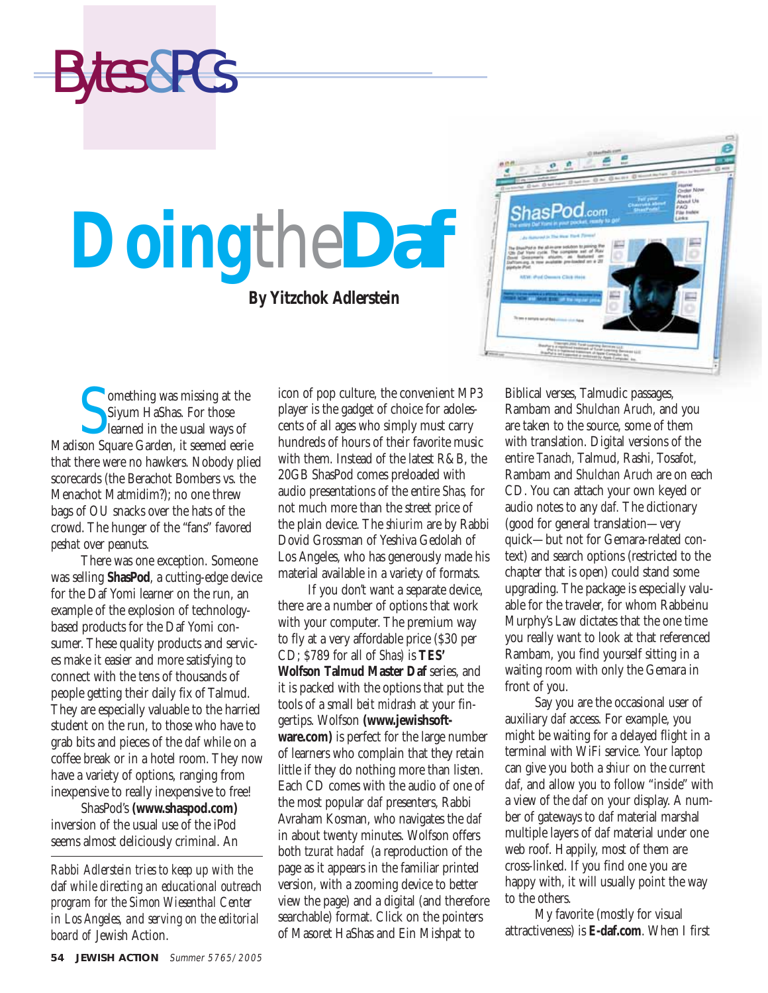**S** Comething was missing at the Siyum HaShas. For those learned in the usual ways of Madison Square Garden, it seemed eerie omething was missing at the Siyum HaShas. For those learned in the usual ways of that there were no hawkers. Nobody plied scorecards (the Berachot Bombers vs. the Menachot Matmidim?); no one threw bags of OU snacks over the hats of the crowd. The hunger of the "fans" favored *peshat* over peanuts.

Bytes&PCs

There was one exception. Someone was selling **ShasPod**, a cutting-edge device for the Daf Yomi learner on the run, an example of the explosion of technologybased products for the Daf Yomi consumer. These quality products and services make it easier and more satisfying to connect with the tens of thousands of people getting their daily fix of Talmud. They are especially valuable to the harried student on the run, to those who have to grab bits and pieces of the *daf* while on a coffee break or in a hotel room. They now have a variety of options, ranging from inexpensive to really inexpensive to free!

ShasPod's **(www.shaspod.com)** inversion of the usual use of the iPod seems almost deliciously criminal. An

*Rabbi Adlerstein tries to keep up with the* daf *while directing an educational outreach program for the Simon Wiesenthal Center in Los Angeles, and serving on the editorial board of* Jewish Action.

icon of pop culture, the convenient MP3 player is the gadget of choice for adolescents of all ages who simply must carry hundreds of hours of their favorite music with them. Instead of the latest R&B, the 20GB ShasPod comes preloaded with audio presentations of the entire *Shas,* for not much more than the street price of the plain device. The *shiurim* are by Rabbi Dovid Grossman of Yeshiva Gedolah of Los Angeles, who has generously made his material available in a variety of formats.

If you don't want a separate device, there are a number of options that work with your computer. The premium way to fly at a very affordable price (\$30 per CD; \$789 for all of *Shas)* is **TES' Wolfson Talmud Master Daf** series, and it is packed with the options that put the tools of a small *beit midrash* at your fingertips. Wolfson **(www.jewishsoftware.com)** is perfect for the large number of learners who complain that they retain little if they do nothing more than listen. Each CD comes with the audio of one of the most popular *daf* presenters, Rabbi Avraham Kosman, who navigates the *daf* in about twenty minutes. Wolfson offers both *tzurat hadaf* (a reproduction of the page as it appears in the familiar printed version, with a zooming device to better view the page) and a digital (and therefore searchable) format. Click on the pointers of Masoret HaShas and Ein Mishpat to

Biblical verses, Talmudic passages, Rambam and *Shulchan Aruch,* and you are taken to the source, some of them with translation. Digital versions of the entire *Tanach,* Talmud, Rashi, Tosafot, Rambam and *Shulchan Aruch* are on each CD. You can attach your own keyed or audio notes to any *daf.* The dictionary (good for general translation—very quick—but not for Gemara-related context) and search options (restricted to the chapter that is open) could stand some upgrading. The package is especially valuable for the traveler, for whom Rabbeinu Murphy's Law dictates that the one time you really want to look at that referenced Rambam, you find yourself sitting in a waiting room with only the Gemara in front of you.

Say you are the occasional user of auxiliary *daf* access. For example, you might be waiting for a delayed flight in a terminal with WiFi service. Your laptop can give you both a *shiur* on the current *daf,* and allow you to follow "inside" with a view of the *daf* on your display. A number of gateways to *daf* material marshal multiple layers of *daf* material under one web roof. Happily, most of them are cross-linked. If you find one you are happy with, it will usually point the way to the others.

My favorite (mostly for visual attractiveness) is **E-daf.com**. When I first

## **Doing**the*Daf* **By Yitzchok Adlerstein**